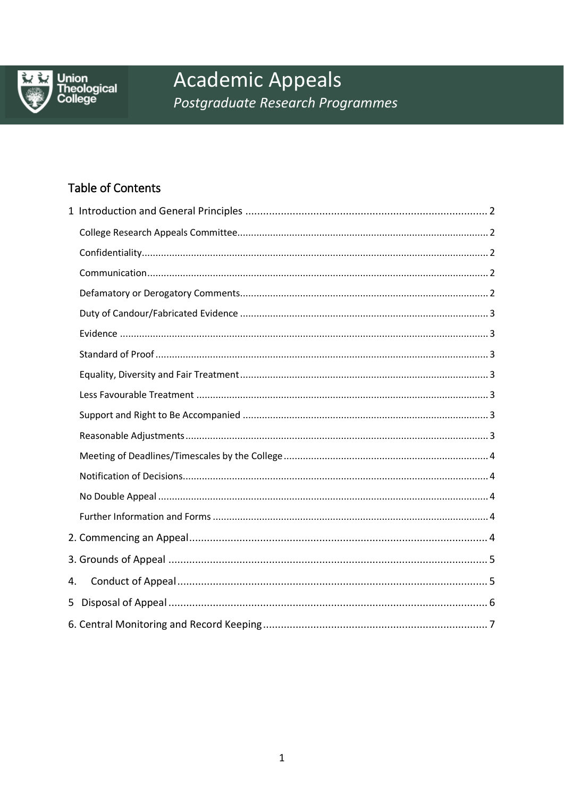

Union<br>Theological<br>College

# **Academic Appeals** Postgraduate Research Programmes

## Table of Contents

| 4. |  |
|----|--|
|    |  |
|    |  |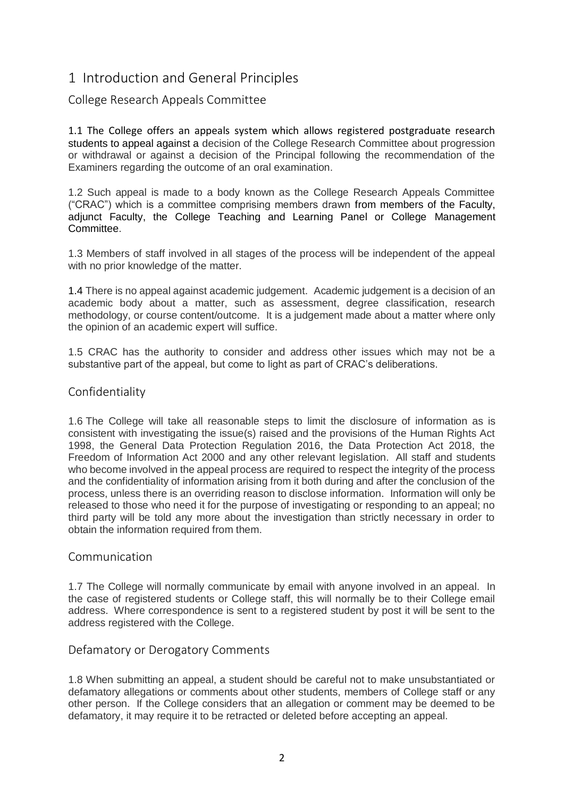## <span id="page-1-0"></span>1 Introduction and General Principles

#### <span id="page-1-1"></span>College Research Appeals Committee

1.1 The College offers an appeals system which allows registered postgraduate research students to appeal against a decision of the College Research Committee about progression or withdrawal or against a decision of the Principal following the recommendation of the Examiners regarding the outcome of an oral examination.

1.2 Such appeal is made to a body known as the College Research Appeals Committee ("CRAC") which is a committee comprising members drawn from members of the Faculty, adjunct Faculty, the College Teaching and Learning Panel or College Management Committee.

1.3 Members of staff involved in all stages of the process will be independent of the appeal with no prior knowledge of the matter.

1.4 There is no appeal against academic judgement. Academic judgement is a decision of an academic body about a matter, such as assessment, degree classification, research methodology, or course content/outcome. It is a judgement made about a matter where only the opinion of an academic expert will suffice.

1.5 CRAC has the authority to consider and address other issues which may not be a substantive part of the appeal, but come to light as part of CRAC's deliberations.

#### <span id="page-1-2"></span>Confidentiality

1.6 The College will take all reasonable steps to limit the disclosure of information as is consistent with investigating the issue(s) raised and the provisions of the Human Rights Act 1998, the General Data Protection Regulation 2016, the Data Protection Act 2018, the Freedom of Information Act 2000 and any other relevant legislation. All staff and students who become involved in the appeal process are required to respect the integrity of the process and the confidentiality of information arising from it both during and after the conclusion of the process, unless there is an overriding reason to disclose information. Information will only be released to those who need it for the purpose of investigating or responding to an appeal; no third party will be told any more about the investigation than strictly necessary in order to obtain the information required from them.

#### <span id="page-1-3"></span>Communication

1.7 The College will normally communicate by email with anyone involved in an appeal. In the case of registered students or College staff, this will normally be to their College email address. Where correspondence is sent to a registered student by post it will be sent to the address registered with the College.

#### <span id="page-1-4"></span>Defamatory or Derogatory Comments

1.8 When submitting an appeal, a student should be careful not to make unsubstantiated or defamatory allegations or comments about other students, members of College staff or any other person. If the College considers that an allegation or comment may be deemed to be defamatory, it may require it to be retracted or deleted before accepting an appeal.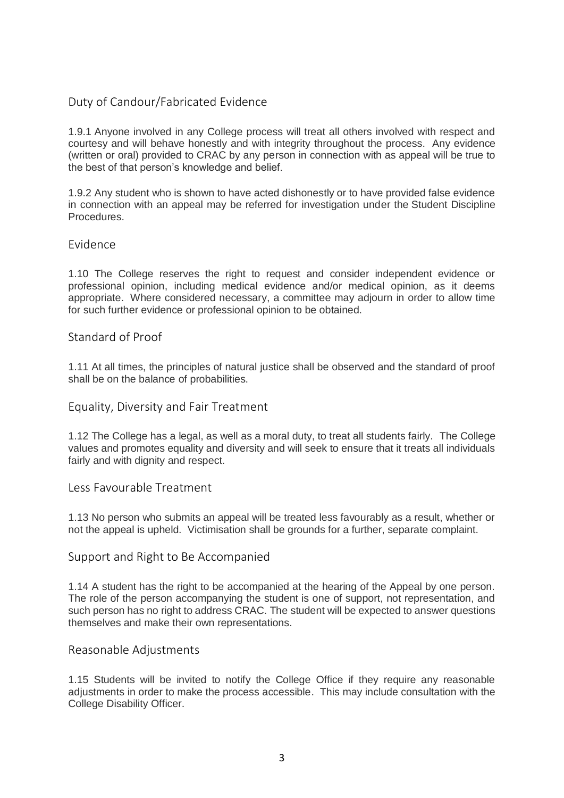#### <span id="page-2-0"></span>Duty of Candour/Fabricated Evidence

1.9.1 Anyone involved in any College process will treat all others involved with respect and courtesy and will behave honestly and with integrity throughout the process. Any evidence (written or oral) provided to CRAC by any person in connection with as appeal will be true to the best of that person's knowledge and belief.

1.9.2 Any student who is shown to have acted dishonestly or to have provided false evidence in connection with an appeal may be referred for investigation under the Student Discipline Procedures.

#### <span id="page-2-1"></span>Evidence

1.10 The College reserves the right to request and consider independent evidence or professional opinion, including medical evidence and/or medical opinion, as it deems appropriate. Where considered necessary, a committee may adjourn in order to allow time for such further evidence or professional opinion to be obtained.

#### <span id="page-2-2"></span>Standard of Proof

1.11 At all times, the principles of natural justice shall be observed and the standard of proof shall be on the balance of probabilities.

#### <span id="page-2-3"></span>Equality, Diversity and Fair Treatment

1.12 The College has a legal, as well as a moral duty, to treat all students fairly. The College values and promotes equality and diversity and will seek to ensure that it treats all individuals fairly and with dignity and respect.

#### <span id="page-2-4"></span>Less Favourable Treatment

1.13 No person who submits an appeal will be treated less favourably as a result, whether or not the appeal is upheld. Victimisation shall be grounds for a further, separate complaint.

#### <span id="page-2-5"></span>Support and Right to Be Accompanied

1.14 A student has the right to be accompanied at the hearing of the Appeal by one person. The role of the person accompanying the student is one of support, not representation, and such person has no right to address CRAC. The student will be expected to answer questions themselves and make their own representations.

#### <span id="page-2-6"></span>Reasonable Adjustments

1.15 Students will be invited to notify the College Office if they require any reasonable adjustments in order to make the process accessible. This may include consultation with the College Disability Officer.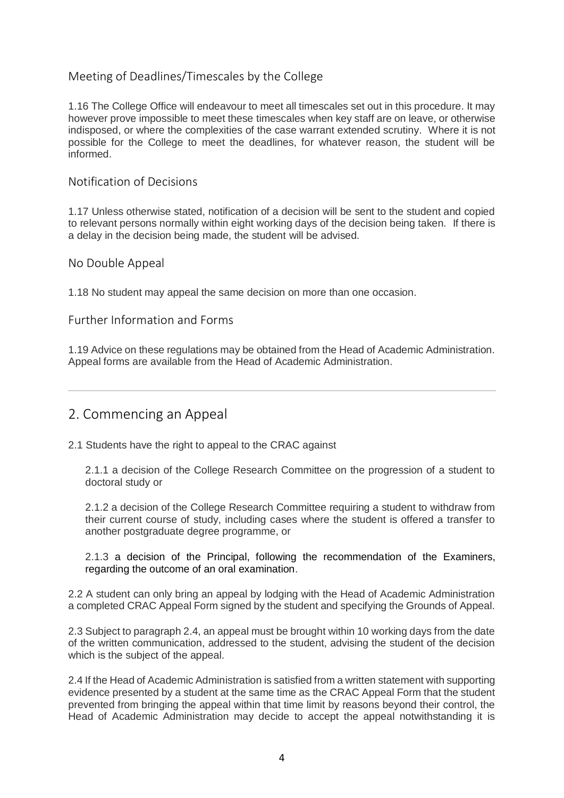## <span id="page-3-0"></span>Meeting of Deadlines/Timescales by the College

1.16 The College Office will endeavour to meet all timescales set out in this procedure. It may however prove impossible to meet these timescales when key staff are on leave, or otherwise indisposed, or where the complexities of the case warrant extended scrutiny. Where it is not possible for the College to meet the deadlines, for whatever reason, the student will be informed.

#### <span id="page-3-1"></span>Notification of Decisions

1.17 Unless otherwise stated, notification of a decision will be sent to the student and copied to relevant persons normally within eight working days of the decision being taken. If there is a delay in the decision being made, the student will be advised.

#### <span id="page-3-2"></span>No Double Appeal

1.18 No student may appeal the same decision on more than one occasion.

#### <span id="page-3-3"></span>Further Information and Forms

1.19 Advice on these regulations may be obtained from the Head of Academic Administration. Appeal forms are available from the Head of Academic Administration.

## <span id="page-3-4"></span>2. Commencing an Appeal

2.1 Students have the right to appeal to the CRAC against

2.1.1 a decision of the College Research Committee on the progression of a student to doctoral study or

2.1.2 a decision of the College Research Committee requiring a student to withdraw from their current course of study, including cases where the student is offered a transfer to another postgraduate degree programme, or

#### 2.1.3 a decision of the Principal, following the recommendation of the Examiners, regarding the outcome of an oral examination.

2.2 A student can only bring an appeal by lodging with the Head of Academic Administration a completed CRAC Appeal Form signed by the student and specifying the Grounds of Appeal.

2.3 Subject to paragraph 2.4, an appeal must be brought within 10 working days from the date of the written communication, addressed to the student, advising the student of the decision which is the subject of the appeal.

2.4 If the Head of Academic Administration is satisfied from a written statement with supporting evidence presented by a student at the same time as the CRAC Appeal Form that the student prevented from bringing the appeal within that time limit by reasons beyond their control, the Head of Academic Administration may decide to accept the appeal notwithstanding it is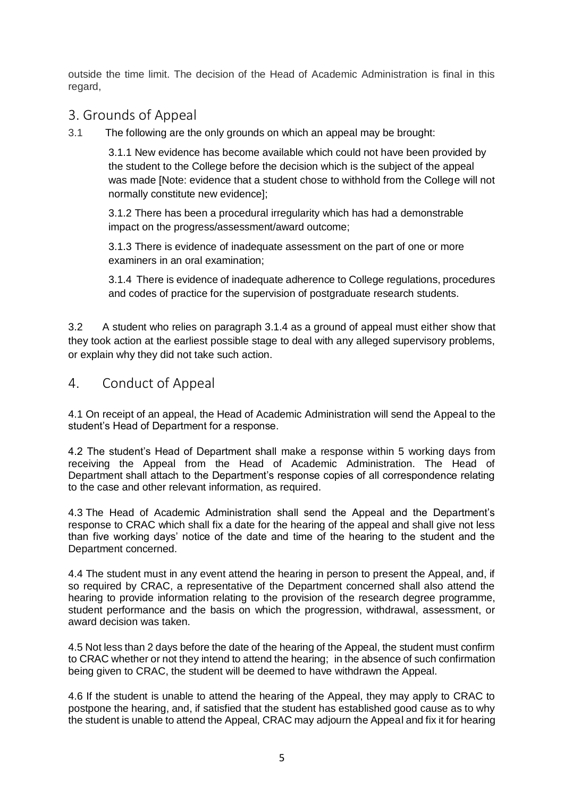outside the time limit. The decision of the Head of Academic Administration is final in this regard,

## <span id="page-4-0"></span>3. Grounds of Appeal

3.1 The following are the only grounds on which an appeal may be brought:

3.1.1 New evidence has become available which could not have been provided by the student to the College before the decision which is the subject of the appeal was made [Note: evidence that a student chose to withhold from the College will not normally constitute new evidence];

3.1.2 There has been a procedural irregularity which has had a demonstrable impact on the progress/assessment/award outcome;

3.1.3 There is evidence of inadequate assessment on the part of one or more examiners in an oral examination;

3.1.4 There is evidence of inadequate adherence to College regulations, procedures and codes of practice for the supervision of postgraduate research students.

3.2 A student who relies on paragraph 3.1.4 as a ground of appeal must either show that they took action at the earliest possible stage to deal with any alleged supervisory problems, or explain why they did not take such action.

## <span id="page-4-1"></span>4. Conduct of Appeal

4.1 On receipt of an appeal, the Head of Academic Administration will send the Appeal to the student's Head of Department for a response.

4.2 The student's Head of Department shall make a response within 5 working days from receiving the Appeal from the Head of Academic Administration. The Head of Department shall attach to the Department's response copies of all correspondence relating to the case and other relevant information, as required.

4.3 The Head of Academic Administration shall send the Appeal and the Department's response to CRAC which shall fix a date for the hearing of the appeal and shall give not less than five working days' notice of the date and time of the hearing to the student and the Department concerned.

4.4 The student must in any event attend the hearing in person to present the Appeal, and, if so required by CRAC, a representative of the Department concerned shall also attend the hearing to provide information relating to the provision of the research degree programme, student performance and the basis on which the progression, withdrawal, assessment, or award decision was taken.

4.5 Not less than 2 days before the date of the hearing of the Appeal, the student must confirm to CRAC whether or not they intend to attend the hearing; in the absence of such confirmation being given to CRAC, the student will be deemed to have withdrawn the Appeal.

4.6 If the student is unable to attend the hearing of the Appeal, they may apply to CRAC to postpone the hearing, and, if satisfied that the student has established good cause as to why the student is unable to attend the Appeal, CRAC may adjourn the Appeal and fix it for hearing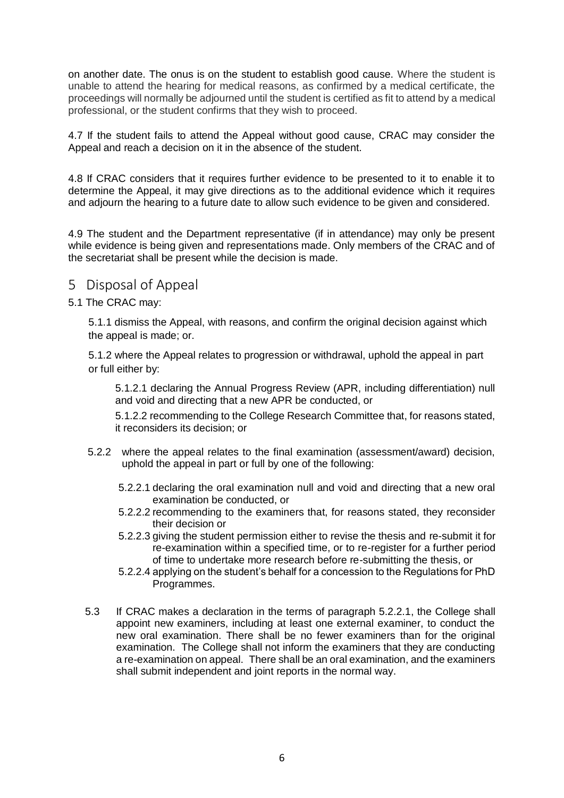on another date. The onus is on the student to establish good cause. Where the student is unable to attend the hearing for medical reasons, as confirmed by a medical certificate, the proceedings will normally be adjourned until the student is certified as fit to attend by a medical professional, or the student confirms that they wish to proceed.

4.7 If the student fails to attend the Appeal without good cause, CRAC may consider the Appeal and reach a decision on it in the absence of the student.

4.8 If CRAC considers that it requires further evidence to be presented to it to enable it to determine the Appeal, it may give directions as to the additional evidence which it requires and adjourn the hearing to a future date to allow such evidence to be given and considered.

4.9 The student and the Department representative (if in attendance) may only be present while evidence is being given and representations made. Only members of the CRAC and of the secretariat shall be present while the decision is made.

- <span id="page-5-0"></span>5 Disposal of Appeal
- 5.1 The CRAC may:

5.1.1 dismiss the Appeal, with reasons, and confirm the original decision against which the appeal is made; or.

5.1.2 where the Appeal relates to progression or withdrawal, uphold the appeal in part or full either by:

5.1.2.1 declaring the Annual Progress Review (APR, including differentiation) null and void and directing that a new APR be conducted, or

5.1.2.2 recommending to the College Research Committee that, for reasons stated, it reconsiders its decision; or

- 5.2.2 where the appeal relates to the final examination (assessment/award) decision, uphold the appeal in part or full by one of the following:
	- 5.2.2.1 declaring the oral examination null and void and directing that a new oral examination be conducted, or
	- 5.2.2.2 recommending to the examiners that, for reasons stated, they reconsider their decision or
	- 5.2.2.3 giving the student permission either to revise the thesis and re-submit it for re-examination within a specified time, or to re-register for a further period of time to undertake more research before re-submitting the thesis, or
	- 5.2.2.4 applying on the student's behalf for a concession to the Regulations for PhD Programmes.
- 5.3 If CRAC makes a declaration in the terms of paragraph 5.2.2.1, the College shall appoint new examiners, including at least one external examiner, to conduct the new oral examination. There shall be no fewer examiners than for the original examination. The College shall not inform the examiners that they are conducting a re-examination on appeal. There shall be an oral examination, and the examiners shall submit independent and joint reports in the normal way.